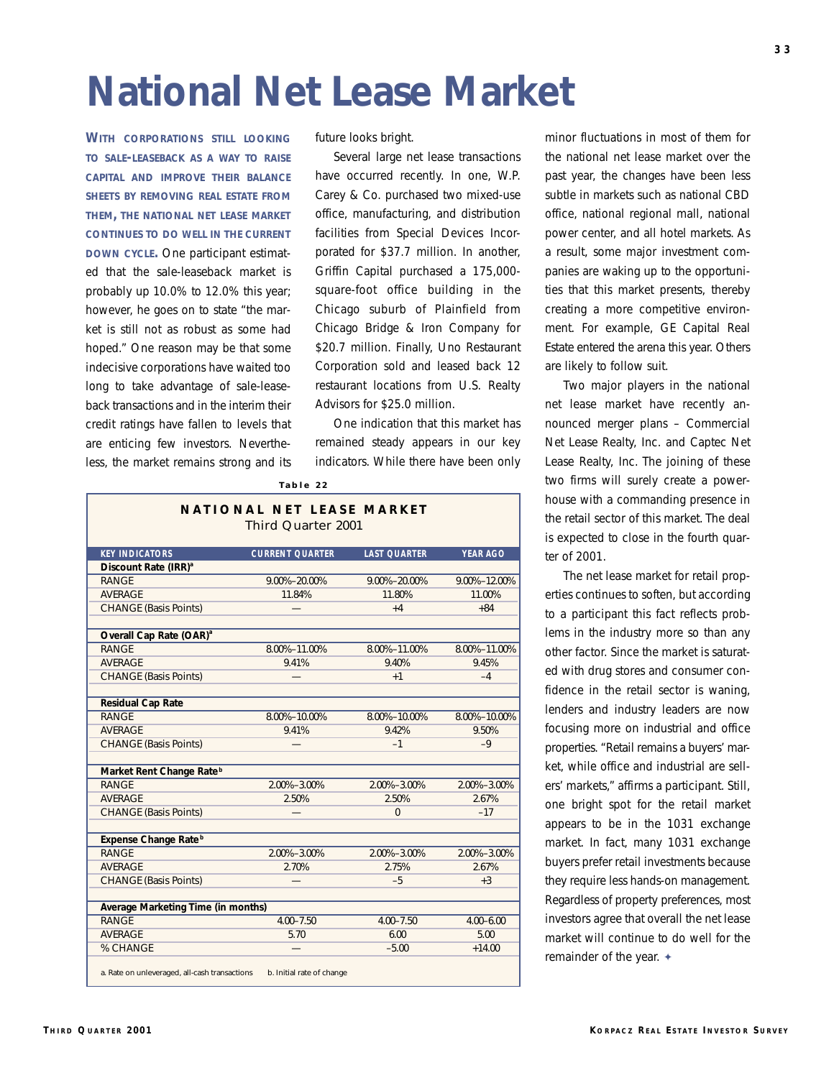## **National Net Lease Market**

**WITH CORPORATIONS STILL LOOKING TO SALE-LEASEBACK AS A WAY TO RAISE CAPITAL AND IMPROVE THEIR BALANCE SHEETS BY REMOVING REAL ESTATE FROM THEM, THE NATIONAL NET LEASE MARKET CONTINUES TO DO WELL IN THE CURRENT DOWN CYCLE.** One participant estimated that the sale-leaseback market is probably up 10.0% to 12.0% this year; however, he goes on to state "the market is still not as robust as some had hoped." One reason may be that some indecisive corporations have waited too long to take advantage of sale-leaseback transactions and in the interim their credit ratings have fallen to levels that are enticing few investors. Nevertheless, the market remains strong and its

future looks bright.

Several large net lease transactions have occurred recently. In one, W.P. Carey & Co. purchased two mixed-use office, manufacturing, and distribution facilities from Special Devices Incorporated for \$37.7 million. In another, Griffin Capital purchased a 175,000 square-foot office building in the Chicago suburb of Plainfield from Chicago Bridge & Iron Company for \$20.7 million. Finally, Uno Restaurant Corporation sold and leased back 12 restaurant locations from U.S. Realty Advisors for \$25.0 million.

One indication that this market has remained steady appears in our key indicators. While there have been only

**NATIONAL NET LEASE MARKET** Third Quarter 2001 **KEY INDICATORS CURRENT QUARTER LAST QUARTER YEAR AGO Discount Rate (IRR)**<sup>a</sup> RANGE 9.00%–20.00% 9.00%–20.00% 9.00%–12.00% AVERAGE 11.84% 11.80% 11.00% CHANGE (Basis Points)  $+4$   $+84$ **Overall Cap Rate (OAR)<sup>a</sup>** RANGE 8.00%–11.00% 8.00%–11.00% 8.00%–11.00% AVERAGE 9.41% 9.40% 9.45% CHANGE (Basis Points) — +1 – +1 – +1 – +4 **Residual Cap Rate** RANGE 8.00%–10.00% 8.00%–10.00% 8.00%–10.00% 8.00%–10.00% AVERAGE 9.41% 9.42% 9.50% CHANGE (Basis Points) — –1 –9 **Market Rent Change Rate <sup>b</sup>** RANGE 2.00%–3.00% 2.00%–3.00% 2.00%–3.00% AVERAGE 2.50% 2.50% 2.67% CHANGE (Basis Points) — 0 – 17 **Expense Change Rate <sup>b</sup>** RANGE 2.00%–3.00% 2.00%–3.00% 2.00%–3.00% AVERAGE 2.70% 2.75% 2.67% CHANGE (Basis Points) — — — — — — — — — +3 **Average Marketing Time (in months)** RANGE 4.00–7.50 4.00–7.50 4.00–6.00 AVERAGE 5.70 6.00 5.00 % CHANGE  $-5.00$  +14.00 a. Rate on unleveraged, all-cash transactions b. Initial rate of change

**Table 22**

minor fluctuations in most of them for the national net lease market over the past year, the changes have been less subtle in markets such as national CBD office, national regional mall, national power center, and all hotel markets. As a result, some major investment companies are waking up to the opportunities that this market presents, thereby creating a more competitive environment. For example, GE Capital Real Estate entered the arena this year. Others are likely to follow suit.

Two major players in the national net lease market have recently announced merger plans – Commercial Net Lease Realty, Inc. and Captec Net Lease Realty, Inc. The joining of these two firms will surely create a powerhouse with a commanding presence in the retail sector of this market. The deal is expected to close in the fourth quarter of 2001.

The net lease market for retail properties continues to soften, but according to a participant this fact reflects problems in the industry more so than any other factor. Since the market is saturated with drug stores and consumer confidence in the retail sector is waning, lenders and industry leaders are now focusing more on industrial and office properties. "Retail remains a buyers' market, while office and industrial are sellers' markets," affirms a participant. Still, one bright spot for the retail market appears to be in the 1031 exchange market. In fact, many 1031 exchange buyers prefer retail investments because they require less hands-on management. Regardless of property preferences, most investors agree that overall the net lease market will continue to do well for the remainder of the year. ✦